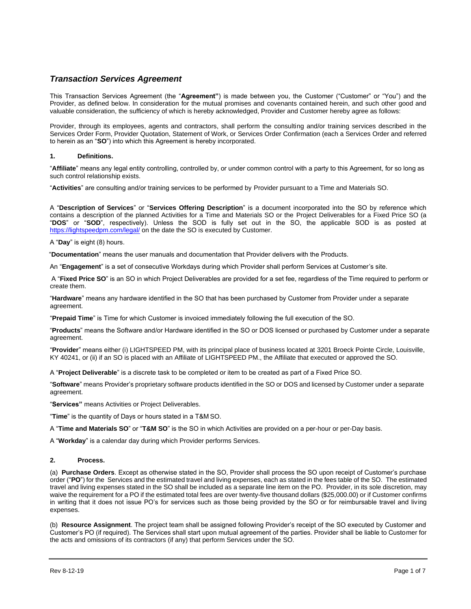# *Transaction Services Agreement*

This Transaction Services Agreement (the "**Agreement"**) is made between you, the Customer ("Customer" or "You") and the Provider, as defined below. In consideration for the mutual promises and covenants contained herein, and such other good and valuable consideration, the sufficiency of which is hereby acknowledged, Provider and Customer hereby agree as follows:

Provider, through its employees, agents and contractors, shall perform the consulting and/or training services described in the Services Order Form, Provider Quotation, Statement of Work, or Services Order Confirmation (each a Services Order and referred to herein as an "**SO**") into which this Agreement is hereby incorporated.

## **1. Definitions.**

"**Affiliate**" means any legal entity controlling, controlled by, or under common control with a party to this Agreement, for so long as such control relationship exists.

"**Activities**" are consulting and/or training services to be performed by Provider pursuant to a Time and Materials SO.

A "**Description of Services**" or "**Services Offering Description**" is a document incorporated into the SO by reference which contains a description of the planned Activities for a Time and Materials SO or the Project Deliverables for a Fixed Price SO (a "**DOS**" or "**SOD**", respectively). Unless the SOD is fully set out in the SO, the applicable SOD is as posted at <https://lightspeedpm.com/legal/> on the date the SO is executed by Customer.

A "**Day**" is eight (8) hours.

"**Documentation**" means the user manuals and documentation that Provider delivers with the Products.

An "**Engagement**" is a set of consecutive Workdays during which Provider shall perform Services at Customer's site.

A "**Fixed Price SO**" is an SO in which Project Deliverables are provided for a set fee, regardless of the Time required to perform or create them.

"**Hardware**" means any hardware identified in the SO that has been purchased by Customer from Provider under a separate agreement.

"**Prepaid Time**" is Time for which Customer is invoiced immediately following the full execution of the SO.

"**Products**" means the Software and/or Hardware identified in the SO or DOS licensed or purchased by Customer under a separate agreement.

"**Provider**" means either (i) LIGHTSPEED PM, with its principal place of business located at 3201 Broeck Pointe Circle, Louisville, KY 40241, or (ii) if an SO is placed with an Affiliate of LIGHTSPEED PM., the Affiliate that executed or approved the SO.

A "**Project Deliverable**" is a discrete task to be completed or item to be created as part of a Fixed Price SO.

"**Software**" means Provider's proprietary software products identified in the SO or DOS and licensed by Customer under a separate agreement.

"**Services"** means Activities or Project Deliverables.

"**Time**" is the quantity of Days or hours stated in a T&M SO.

A "**Time and Materials SO**" or "**T&M SO**" is the SO in which Activities are provided on a per-hour or per-Day basis.

A "**Workday**" is a calendar day during which Provider performs Services.

#### **2. Process.**

(a) **Purchase Orders**. Except as otherwise stated in the SO, Provider shall process the SO upon receipt of Customer's purchase order ("**PO**") for the Services and the estimated travel and living expenses, each as stated in the fees table of the SO. The estimated travel and living expenses stated in the SO shall be included as a separate line item on the PO. Provider, in its sole discretion, may waive the requirement for a PO if the estimated total fees are over twenty-five thousand dollars (\$25,000.00) or if Customer confirms in writing that it does not issue PO's for services such as those being provided by the SO or for reimbursable travel and living expenses.

(b) **Resource Assignment**. The project team shall be assigned following Provider's receipt of the SO executed by Customer and Customer's PO (if required). The Services shall start upon mutual agreement of the parties. Provider shall be liable to Customer for the acts and omissions of its contractors (if any) that perform Services under the SO.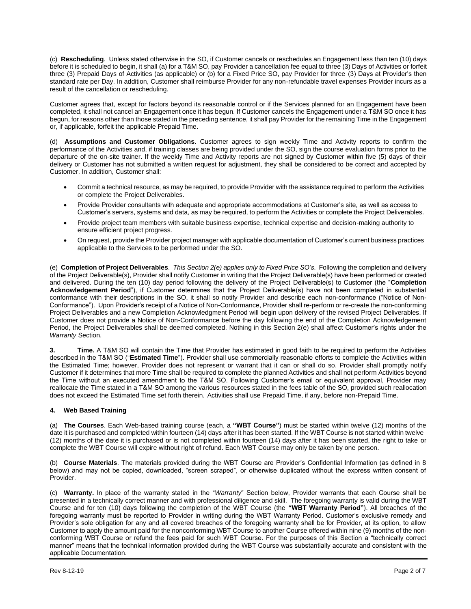(c) **Rescheduling**. Unless stated otherwise in the SO, if Customer cancels or reschedules an Engagement less than ten (10) days before it is scheduled to begin, it shall (a) for a T&M SO, pay Provider a cancellation fee equal to three (3) Days of Activities or forfeit three (3) Prepaid Days of Activities (as applicable) or (b) for a Fixed Price SO, pay Provider for three (3) Days at Provider's then standard rate per Day. In addition, Customer shall reimburse Provider for any non-refundable travel expenses Provider incurs as a result of the cancellation or rescheduling.

Customer agrees that, except for factors beyond its reasonable control or if the Services planned for an Engagement have been completed, it shall not cancel an Engagement once it has begun. If Customer cancels the Engagement under a T&M SO once it has begun, for reasons other than those stated in the preceding sentence, it shall pay Provider for the remaining Time in the Engagement or, if applicable, forfeit the applicable Prepaid Time.

(d) **Assumptions and Customer Obligations**. Customer agrees to sign weekly Time and Activity reports to confirm the performance of the Activities and, if training classes are being provided under the SO, sign the course evaluation forms prior to the departure of the on-site trainer. If the weekly Time and Activity reports are not signed by Customer within five (5) days of their delivery or Customer has not submitted a written request for adjustment, they shall be considered to be correct and accepted by Customer. In addition, Customer shall:

- Commit a technical resource, as may be required, to provide Provider with the assistance required to perform the Activities or complete the Project Deliverables.
- Provide Provider consultants with adequate and appropriate accommodations at Customer's site, as well as access to Customer's servers, systems and data, as may be required, to perform the Activities or complete the Project Deliverables.
- Provide project team members with suitable business expertise, technical expertise and decision-making authority to ensure efficient project progress.
- On request, provide the Provider project manager with applicable documentation of Customer's current business practices applicable to the Services to be performed under the SO.

(e) **Completion of Project Deliverables**. *This Section 2(e) applies only to Fixed Price SO's*. Following the completion and delivery of the Project Deliverable(s), Provider shall notify Customer in writing that the Project Deliverable(s) have been performed or created and delivered. During the ten (10) day period following the delivery of the Project Deliverable(s) to Customer (the "**Completion Acknowledgement Period**"), if Customer determines that the Project Deliverable(s) have not been completed in substantial conformance with their descriptions in the SO, it shall so notify Provider and describe each non-conformance ("Notice of Non-Conformance"). Upon Provider's receipt of a Notice of Non-Conformance, Provider shall re-perform or re-create the non-conforming Project Deliverables and a new Completion Acknowledgment Period will begin upon delivery of the revised Project Deliverables. If Customer does not provide a Notice of Non-Conformance before the day following the end of the Completion Acknowledgement Period, the Project Deliverables shall be deemed completed. Nothing in this Section 2(e) shall affect Customer's rights under the *Warranty* Section.

**3. Time.** A T&M SO will contain the Time that Provider has estimated in good faith to be required to perform the Activities described in the T&M SO ("**Estimated Time**"). Provider shall use commercially reasonable efforts to complete the Activities within the Estimated Time; however, Provider does not represent or warrant that it can or shall do so. Provider shall promptly notify Customer if it determines that more Time shall be required to complete the planned Activities and shall not perform Activities beyond the Time without an executed amendment to the T&M SO. Following Customer's email or equivalent approval, Provider may reallocate the Time stated in a T&M SO among the various resources stated in the fees table of the SO, provided such reallocation does not exceed the Estimated Time set forth therein. Activities shall use Prepaid Time, if any, before non-Prepaid Time.

## **4. Web Based Training**

(a) **The Courses**. Each Web-based training course (each, a **"WBT Course"**) must be started within twelve (12) months of the date it is purchased and completed within fourteen (14) days after it has been started. If the WBT Course is not started within twelve (12) months of the date it is purchased or is not completed within fourteen (14) days after it has been started, the right to take or complete the WBT Course will expire without right of refund. Each WBT Course may only be taken by one person.

(b) **Course Materials**. The materials provided during the WBT Course are Provider's Confidential Information (as defined in 8 below) and may not be copied, downloaded, "screen scraped", or otherwise duplicated without the express written consent of Provider.

(c) **Warranty.** In place of the warranty stated in the "*Warranty*" Section below, Provider warrants that each Course shall be presented in a technically correct manner and with professional diligence and skill. The foregoing warranty is valid during the WBT Course and for ten (10) days following the completion of the WBT Course (the **"WBT Warranty Period"**). All breaches of the foregoing warranty must be reported to Provider in writing during the WBT Warranty Period. Customer's exclusive remedy and Provider's sole obligation for any and all covered breaches of the foregoing warranty shall be for Provider, at its option, to allow Customer to apply the amount paid for the nonconforming WBT Course to another Course offered within nine (9) months of the nonconforming WBT Course or refund the fees paid for such WBT Course. For the purposes of this Section a "technically correct manner" means that the technical information provided during the WBT Course was substantially accurate and consistent with the applicable Documentation.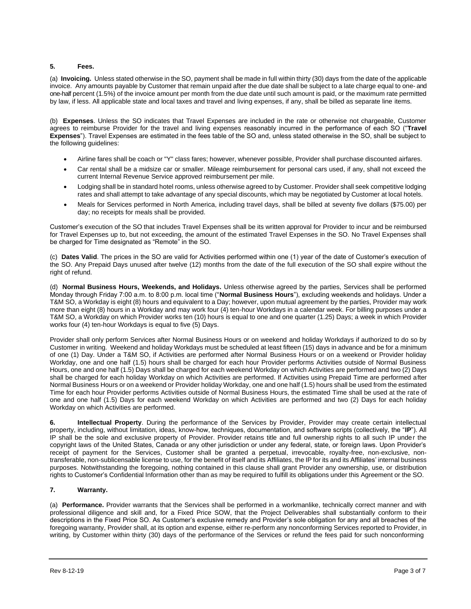## **5. Fees.**

(a) **Invoicing.** Unless stated otherwise in the SO, payment shall be made in full within thirty (30) days from the date of the applicable invoice. Any amounts payable by Customer that remain unpaid after the due date shall be subject to a late charge equal to one- and one-half percent (1.5%) of the invoice amount per month from the due date until such amount is paid, or the maximum rate permitted by law, if less. All applicable state and local taxes and travel and living expenses, if any, shall be billed as separate line items.

(b) **Expenses**. Unless the SO indicates that Travel Expenses are included in the rate or otherwise not chargeable, Customer agrees to reimburse Provider for the travel and living expenses reasonably incurred in the performance of each SO ("**Travel Expenses**"). Travel Expenses are estimated in the fees table of the SO and, unless stated otherwise in the SO, shall be subject to the following guidelines:

- Airline fares shall be coach or "Y" class fares; however, whenever possible, Provider shall purchase discounted airfares.
- Car rental shall be a midsize car or smaller. Mileage reimbursement for personal cars used, if any, shall not exceed the current Internal Revenue Service approved reimbursement per mile.
- Lodging shall be in standard hotel rooms, unless otherwise agreed to by Customer. Provider shall seek competitive lodging rates and shall attempt to take advantage of any special discounts, which may be negotiated by Customer at local hotels.
- Meals for Services performed in North America, including travel days, shall be billed at seventy five dollars (\$75.00) per day; no receipts for meals shall be provided.

Customer's execution of the SO that includes Travel Expenses shall be its written approval for Provider to incur and be reimbursed for Travel Expenses up to, but not exceeding, the amount of the estimated Travel Expenses in the SO. No Travel Expenses shall be charged for Time designated as "Remote" in the SO.

(c) **Dates Valid**. The prices in the SO are valid for Activities performed within one (1) year of the date of Customer's execution of the SO. Any Prepaid Days unused after twelve (12) months from the date of the full execution of the SO shall expire without the right of refund.

(d) **Normal Business Hours, Weekends, and Holidays.** Unless otherwise agreed by the parties, Services shall be performed Monday through Friday 7:00 a.m. to 8:00 p.m. local time ("**Normal Business Hours**"), excluding weekends and holidays. Under a T&M SO, a Workday is eight (8) hours and equivalent to a Day; however, upon mutual agreement by the parties, Provider may work more than eight (8) hours in a Workday and may work four (4) ten-hour Workdays in a calendar week. For billing purposes under a T&M SO, a Workday on which Provider works ten (10) hours is equal to one and one quarter (1.25) Days; a week in which Provider works four (4) ten-hour Workdays is equal to five (5) Days.

Provider shall only perform Services after Normal Business Hours or on weekend and holiday Workdays if authorized to do so by Customer in writing. Weekend and holiday Workdays must be scheduled at least fifteen (15) days in advance and be for a minimum of one (1) Day. Under a T&M SO, if Activities are performed after Normal Business Hours or on a weekend or Provider holiday Workday, one and one half (1.5) hours shall be charged for each hour Provider performs Activities outside of Normal Business Hours, one and one half (1.5) Days shall be charged for each weekend Workday on which Activities are performed and two (2) Days shall be charged for each holiday Workday on which Activities are performed. If Activities using Prepaid Time are performed after Normal Business Hours or on a weekend or Provider holiday Workday, one and one half (1.5) hours shall be used from the estimated Time for each hour Provider performs Activities outside of Normal Business Hours, the estimated Time shall be used at the rate of one and one half (1.5) Days for each weekend Workday on which Activities are performed and two (2) Days for each holiday Workday on which Activities are performed.

**6. Intellectual Property**. During the performance of the Services by Provider, Provider may create certain intellectual property, including, without limitation, ideas, know-how, techniques, documentation, and software scripts (collectively, the "**IP**"). All IP shall be the sole and exclusive property of Provider. Provider retains title and full ownership rights to all such IP under the copyright laws of the United States, Canada or any other jurisdiction or under any federal, state, or foreign laws. Upon Provider's receipt of payment for the Services, Customer shall be granted a perpetual, irrevocable, royalty-free, non-exclusive, nontransferable, non-sublicensable license to use, for the benefit of itself and its Affiliates, the IP for its and its Affiliates' internal business purposes. Notwithstanding the foregoing, nothing contained in this clause shall grant Provider any ownership, use, or distribution rights to Customer's Confidential Information other than as may be required to fulfill its obligations under this Agreement or the SO.

## **7. Warranty.**

(a) **Performance.** Provider warrants that the Services shall be performed in a workmanlike, technically correct manner and with professional diligence and skill and, for a Fixed Price SOW, that the Project Deliverables shall substantially conform to their descriptions in the Fixed Price SO. As Customer's exclusive remedy and Provider's sole obligation for any and all breaches of the foregoing warranty, Provider shall, at its option and expense, either re-perform any nonconforming Services reported to Provider, in writing, by Customer within thirty (30) days of the performance of the Services or refund the fees paid for such nonconforming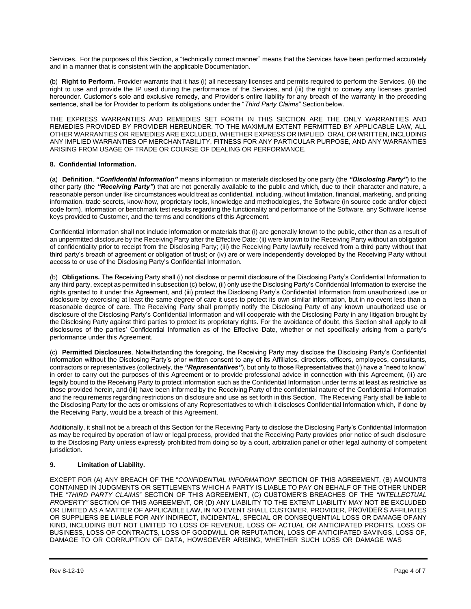Services. For the purposes of this Section, a "technically correct manner" means that the Services have been performed accurately and in a manner that is consistent with the applicable Documentation.

(b) **Right to Perform.** Provider warrants that it has (i) all necessary licenses and permits required to perform the Services, (ii) the right to use and provide the IP used during the performance of the Services, and (iii) the right to convey any licenses granted hereunder. Customer's sole and exclusive remedy, and Provider's entire liability for any breach of the warranty in the preceding sentence, shall be for Provider to perform its obligations under the "*Third Party Claims"* Section below.

THE EXPRESS WARRANTIES AND REMEDIES SET FORTH IN THIS SECTION ARE THE ONLY WARRANTIES AND REMEDIES PROVIDED BY PROVIDER HEREUNDER. TO THE MAXIMUM EXTENT PERMITTED BY APPLICABLE LAW, ALL OTHER WARRANTIES OR REMEDIES ARE EXCLUDED, WHETHER EXPRESS OR IMPLIED, ORAL OR WRITTEN, INCLUDING ANY IMPLIED WARRANTIES OF MERCHANTABILITY, FITNESS FOR ANY PARTICULAR PURPOSE, AND ANY WARRANTIES ARISING FROM USAGE OF TRADE OR COURSE OF DEALING OR PERFORMANCE.

#### **8. Confidential Information.**

(a) **Definition**. *"Confidential Information"* means information or materials disclosed by one party (the *"Disclosing Party"*) to the other party (the *"Receiving Party"*) that are not generally available to the public and which, due to their character and nature, a reasonable person under like circumstances would treat as confidential, including, without limitation, financial, marketing, and pricing information, trade secrets, know-how, proprietary tools, knowledge and methodologies, the Software (in source code and/or object code form), information or benchmark test results regarding the functionality and performance of the Software, any Software license keys provided to Customer, and the terms and conditions of this Agreement.

Confidential Information shall not include information or materials that (i) are generally known to the public, other than as a result of an unpermitted disclosure by the Receiving Party after the Effective Date; (ii) were known to the Receiving Party without an obligation of confidentiality prior to receipt from the Disclosing Party; (iii) the Receiving Party lawfully received from a third party without that third party's breach of agreement or obligation of trust; or (iv) are or were independently developed by the Receiving Party without access to or use of the Disclosing Party's Confidential Information.

(b) **Obligations.** The Receiving Party shall (i) not disclose or permit disclosure of the Disclosing Party's Confidential Information to any third party, except as permitted in subsection (c) below, (ii) only use the Disclosing Party's Confidential Information to exercise the rights granted to it under this Agreement, and (iii) protect the Disclosing Party's Confidential Information from unauthorized use or disclosure by exercising at least the same degree of care it uses to protect its own similar information, but in no event less than a reasonable degree of care. The Receiving Party shall promptly notify the Disclosing Party of any known unauthorized use or disclosure of the Disclosing Party's Confidential Information and will cooperate with the Disclosing Party in any litigation brought by the Disclosing Party against third parties to protect its proprietary rights. For the avoidance of doubt, this Section shall apply to all disclosures of the parties' Confidential Information as of the Effective Date, whether or not specifically arising from a party's performance under this Agreement.

(c) **Permitted Disclosures**. Notwithstanding the foregoing, the Receiving Party may disclose the Disclosing Party's Confidential Information without the Disclosing Party's prior written consent to any of its Affiliates, directors, officers, employees, consultants, contractors or representatives (collectively, the *"Representatives"*), but only to those Representatives that (i) have a "need to know" in order to carry out the purposes of this Agreement or to provide professional advice in connection with this Agreement, (ii) are legally bound to the Receiving Party to protect information such as the Confidential Information under terms at least as restrictive as those provided herein, and (iii) have been informed by the Receiving Party of the confidential nature of the Confidential Information and the requirements regarding restrictions on disclosure and use as set forth in this Section. The Receiving Party shall be liable to the Disclosing Party for the acts or omissions of any Representatives to which it discloses Confidential Information which, if done by the Receiving Party, would be a breach of this Agreement.

Additionally, it shall not be a breach of this Section for the Receiving Party to disclose the Disclosing Party's Confidential Information as may be required by operation of law or legal process, provided that the Receiving Party provides prior notice of such disclosure to the Disclosing Party unless expressly prohibited from doing so by a court, arbitration panel or other legal authority of competent jurisdiction.

## **9. Limitation of Liability.**

EXCEPT FOR (A) ANY BREACH OF THE "*CONFIDENTIAL INFORMATION*" SECTION OF THIS AGREEMENT, (B) AMOUNTS CONTAINED IN JUDGMENTS OR SETTLEMENTS WHICH A PARTY IS LIABLE TO PAY ON BEHALF OF THE OTHER UNDER THE "*THIRD PARTY CLAIMS*" SECTION OF THIS AGREEMENT, (C) CUSTOMER'S BREACHES OF THE *"INTELLECTUAL PROPERTY"* SECTION OF THIS AGREEMENT, OR (D) ANY LIABILITY TO THE EXTENT LIABILITY MAY NOT BE EXCLUDED OR LIMITED AS A MATTER OF APPLICABLE LAW, IN NO EVENT SHALL CUSTOMER, PROVIDER, PROVIDER'S AFFILIATES OR SUPPLIERS BE LIABLE FOR ANY INDIRECT, INCIDENTAL, SPECIAL OR CONSEQUENTIAL LOSS OR DAMAGE OFANY KIND, INCLUDING BUT NOT LIMITED TO LOSS OF REVENUE, LOSS OF ACTUAL OR ANTICIPATED PROFITS, LOSS OF BUSINESS, LOSS OF CONTRACTS, LOSS OF GOODWILL OR REPUTATION, LOSS OF ANTICIPATED SAVINGS, LOSS OF, DAMAGE TO OR CORRUPTION OF DATA, HOWSOEVER ARISING, WHETHER SUCH LOSS OR DAMAGE WAS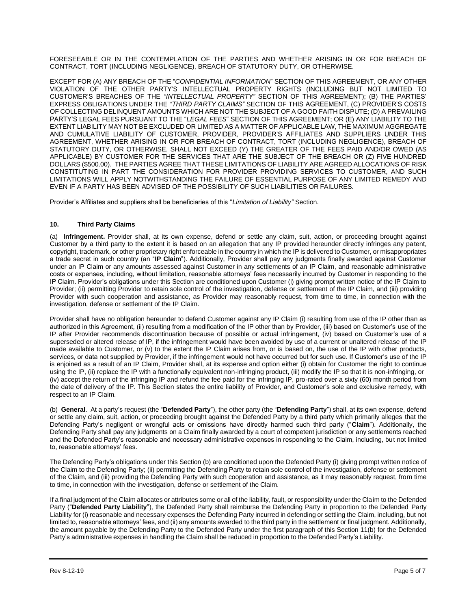FORESEEABLE OR IN THE CONTEMPLATION OF THE PARTIES AND WHETHER ARISING IN OR FOR BREACH OF CONTRACT, TORT (INCLUDING NEGLIGENCE), BREACH OF STATUTORY DUTY, OR OTHERWISE.

EXCEPT FOR (A) ANY BREACH OF THE "*CONFIDENTIAL INFORMATION*" SECTION OF THIS AGREEMENT, OR ANY OTHER VIOLATION OF THE OTHER PARTY'S INTELLECTUAL PROPERTY RIGHTS (INCLUDING BUT NOT LIMITED TO CUSTOMER'S BREACHES OF THE *"INTELLECTUAL PROPERTY"* SECTION OF THIS AGREEMENT); (B) THE PARTIES' EXPRESS OBLIGATIONS UNDER THE *"THIRD PARTY CLAIMS"* SECTION OF THIS AGREEMENT, (C) PROVIDER'S COSTS OF COLLECTING DELINQUENT AMOUNTS WHICH ARE NOT THE SUBJECT OF A GOOD FAITH DISPUTE; (D) A PREVAILING PARTY'S LEGAL FEES PURSUANT TO THE "*LEGAL FEES*" SECTION OF THIS AGREEMENT; OR (E) ANY LIABILITY TO THE EXTENT LIABILITY MAY NOT BE EXCLUDED OR LIMITED AS A MATTER OF APPLICABLE LAW, THE MAXIMUM AGGREGATE AND CUMULATIVE LIABILITY OF CUSTOMER, PROVIDER, PROVIDER'S AFFILIATES AND SUPPLIERS UNDER THIS AGREEMENT, WHETHER ARISING IN OR FOR BREACH OF CONTRACT, TORT (INCLUDING NEGLIGENCE), BREACH OF STATUTORY DUTY, OR OTHERWISE, SHALL NOT EXCEED (Y) THE GREATER OF THE FEES PAID AND/OR OWED (AS APPLICABLE) BY CUSTOMER FOR THE SERVICES THAT ARE THE SUBJECT OF THE BREACH OR (Z) FIVE HUNDRED DOLLARS (\$500.00). THE PARTIES AGREE THAT THESE LIMITATIONS OF LIABILITY ARE AGREED ALLOCATIONS OF RISK CONSTITUTING IN PART THE CONSIDERATION FOR PROVIDER PROVIDING SERVICES TO CUSTOMER, AND SUCH LIMITATIONS WILL APPLY NOTWITHSTANDING THE FAILURE OF ESSENTIAL PURPOSE OF ANY LIMITED REMEDY AND EVEN IF A PARTY HAS BEEN ADVISED OF THE POSSIBILITY OF SUCH LIABILITIES OR FAILURES.

Provider's Affiliates and suppliers shall be beneficiaries of this "*Limitation of Liability"* Section.

#### **10. Third Party Claims**

(a) **Infringement.** Provider shall, at its own expense, defend or settle any claim, suit, action, or proceeding brought against Customer by a third party to the extent it is based on an allegation that any IP provided hereunder directly infringes any patent, copyright, trademark, or other proprietary right enforceable in the country in which the IP is delivered to Customer, or misappropriates a trade secret in such country (an "**IP Claim**"). Additionally, Provider shall pay any judgments finally awarded against Customer under an IP Claim or any amounts assessed against Customer in any settlements of an IP Claim, and reasonable administrative costs or expenses, including, without limitation, reasonable attorneys' fees necessarily incurred by Customer in responding to the IP Claim. Provider's obligations under this Section are conditioned upon Customer (i) giving prompt written notice of the IP Claim to Provider; (ii) permitting Provider to retain sole control of the investigation, defense or settlement of the IP Claim, and (iii) providing Provider with such cooperation and assistance, as Provider may reasonably request, from time to time, in connection with the investigation, defense or settlement of the IP Claim.

Provider shall have no obligation hereunder to defend Customer against any IP Claim (i) resulting from use of the IP other than as authorized in this Agreement, (ii) resulting from a modification of the IP other than by Provider, (iii) based on Customer's use of the IP after Provider recommends discontinuation because of possible or actual infringement, (iv) based on Customer's use of a superseded or altered release of IP, if the infringement would have been avoided by use of a current or unaltered release of the IP made available to Customer, or (v) to the extent the IP Claim arises from, or is based on, the use of the IP with other products, services, or data not supplied by Provider, if the infringement would not have occurred but for such use. If Customer's use of the IP is enjoined as a result of an IP Claim, Provider shall, at its expense and option either (i) obtain for Customer the right to continue using the IP, (ii) replace the IP with a functionally equivalent non-infringing product, (iii) modify the IP so that it is non-infringing, or (iv) accept the return of the infringing IP and refund the fee paid for the infringing IP, pro-rated over a sixty (60) month period from the date of delivery of the IP. This Section states the entire liability of Provider, and Customer's sole and exclusive remedy, with respect to an IP Claim.

(b) **General**. At a party's request (the "**Defended Party**"), the other party (the "**Defending Party**") shall, at its own expense, defend or settle any claim, suit, action, or proceeding brought against the Defended Party by a third party which primarily alleges that the Defending Party's negligent or wrongful acts or omissions have directly harmed such third party ("**Claim**"). Additionally, the Defending Party shall pay any judgments on a Claim finally awarded by a court of competent jurisdiction or any settlements reached and the Defended Party's reasonable and necessary administrative expenses in responding to the Claim, including, but not limited to, reasonable attorneys' fees.

The Defending Party's obligations under this Section (b) are conditioned upon the Defended Party (i) giving prompt written notice of the Claim to the Defending Party; (ii) permitting the Defending Party to retain sole control of the investigation, defense or settlement of the Claim, and (iii) providing the Defending Party with such cooperation and assistance, as it may reasonably request, from time to time, in connection with the investigation, defense or settlement of the Claim.

If a final judgment of the Claim allocates or attributes some or all of the liability, fault, or responsibility under the Claim to the Defended Party ("**Defended Party Liability**"), the Defended Party shall reimburse the Defending Party in proportion to the Defended Party Liability for (i) reasonable and necessary expenses the Defending Party incurred in defending or settling the Claim, including, but not limited to, reasonable attorneys' fees, and (ii) any amounts awarded to the third party in the settlement or final judgment. Additionally, the amount payable by the Defending Party to the Defended Party under the first paragraph of this Section 11(b) for the Defended Party's administrative expenses in handling the Claim shall be reduced in proportion to the Defended Party's Liability.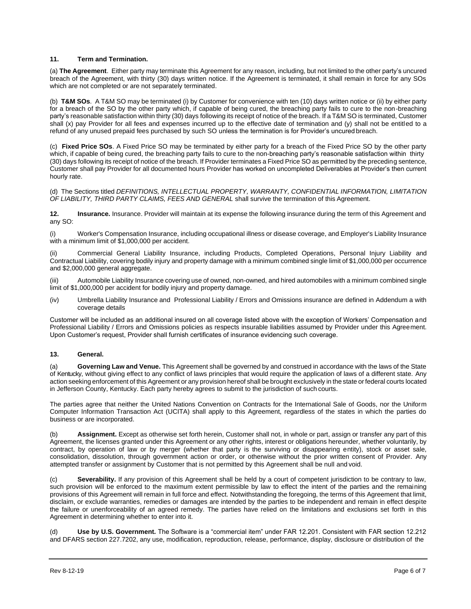#### **11. Term and Termination.**

(a) **The Agreement**. Either party may terminate this Agreement for any reason, including, but not limited to the other party's uncured breach of the Agreement, with thirty (30) days written notice. If the Agreement is terminated, it shall remain in force for any SOs which are not completed or are not separately terminated.

(b) **T&M SOs**. A T&M SO may be terminated (i) by Customer for convenience with ten (10) days written notice or (ii) by either party for a breach of the SO by the other party which, if capable of being cured, the breaching party fails to cure to the non-breaching party's reasonable satisfaction within thirty (30) days following its receipt of notice of the breach. If a T&M SO is terminated, Customer shall (x) pay Provider for all fees and expenses incurred up to the effective date of termination and (y) shall not be entitled to a refund of any unused prepaid fees purchased by such SO unless the termination is for Provider's uncured breach.

(c) **Fixed Price SOs**. A Fixed Price SO may be terminated by either party for a breach of the Fixed Price SO by the other party which, if capable of being cured, the breaching party fails to cure to the non-breaching party's reasonable satisfaction within thirty (30) days following its receipt of notice of the breach. If Provider terminates a Fixed Price SO as permitted by the preceding sentence, Customer shall pay Provider for all documented hours Provider has worked on uncompleted Deliverables at Provider's then current hourly rate.

(d) The Sections titled *DEFINITIONS, INTELLECTUAL PROPERTY, WARRANTY, CONFIDENTIAL INFORMATION, LIMITATION OF LIABILITY, THIRD PARTY CLAIMS, FEES AND GENERAL* shall survive the termination of this Agreement.

**12. Insurance.** Insurance. Provider will maintain at its expense the following insurance during the term of this Agreement and any SO:

(i) Worker's Compensation Insurance, including occupational illness or disease coverage, and Employer's Liability Insurance with a minimum limit of \$1,000,000 per accident.

Commercial General Liability Insurance, including Products, Completed Operations, Personal Injury Liability and Contractual Liability, covering bodily injury and property damage with a minimum combined single limit of \$1,000,000 per occurrence and \$2,000,000 general aggregate.

(iii) Automobile Liability Insurance covering use of owned, non-owned, and hired automobiles with a minimum combined single limit of \$1,000,000 per accident for bodily injury and property damage.

(iv) Umbrella Liability Insurance and Professional Liability / Errors and Omissions insurance are defined in Addendum a with coverage details

Customer will be included as an additional insured on all coverage listed above with the exception of Workers' Compensation and Professional Liability / Errors and Omissions policies as respects insurable liabilities assumed by Provider under this Agreement. Upon Customer's request, Provider shall furnish certificates of insurance evidencing such coverage.

## **13. General.**

(a) **Governing Law and Venue.** This Agreement shall be governed by and construed in accordance with the laws of the State of Kentucky, without giving effect to any conflict of laws principles that would require the application of laws of a different state. Any action seeking enforcement of this Agreement or any provision hereof shall be brought exclusively in the state or federal courts located in Jefferson County, Kentucky. Each party hereby agrees to submit to the jurisdiction of such courts.

The parties agree that neither the United Nations Convention on Contracts for the International Sale of Goods, nor the Uniform Computer Information Transaction Act (UCITA) shall apply to this Agreement, regardless of the states in which the parties do business or are incorporated.

Assignment. Except as otherwise set forth herein, Customer shall not, in whole or part, assign or transfer any part of this Agreement, the licenses granted under this Agreement or any other rights, interest or obligations hereunder, whether voluntarily, by contract, by operation of law or by merger (whether that party is the surviving or disappearing entity), stock or asset sale, consolidation, dissolution, through government action or order, or otherwise without the prior written consent of Provider. Any attempted transfer or assignment by Customer that is not permitted by this Agreement shall be null and void.

(c) **Severability.** If any provision of this Agreement shall be held by a court of competent jurisdiction to be contrary to law, such provision will be enforced to the maximum extent permissible by law to effect the intent of the parties and the remaining provisions of this Agreement will remain in full force and effect. Notwithstanding the foregoing, the terms of this Agreement that limit, disclaim, or exclude warranties, remedies or damages are intended by the parties to be independent and remain in effect despite the failure or unenforceability of an agreed remedy. The parties have relied on the limitations and exclusions set forth in this Agreement in determining whether to enter into it.

(d) **Use by U.S. Government.** The Software is a "commercial item" under FAR 12.201. Consistent with FAR section 12.212 and DFARS section 227.7202, any use, modification, reproduction, release, performance, display, disclosure or distribution of the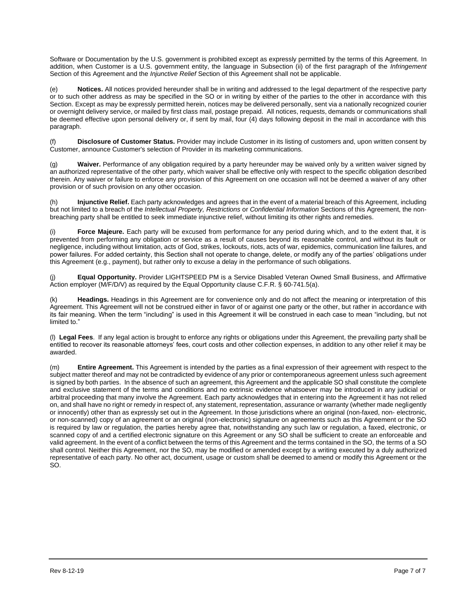Software or Documentation by the U.S. government is prohibited except as expressly permitted by the terms of this Agreement. In addition, when Customer is a U.S. government entity, the language in Subsection (ii) of the first paragraph of the *Infringement*  Section of this Agreement and the *Injunctive Relief* Section of this Agreement shall not be applicable.

(e) **Notices.** All notices provided hereunder shall be in writing and addressed to the legal department of the respective party or to such other address as may be specified in the SO or in writing by either of the parties to the other in accordance with this Section. Except as may be expressly permitted herein, notices may be delivered personally, sent via a nationally recognized courier or overnight delivery service, or mailed by first class mail, postage prepaid. All notices, requests, demands or communications shall be deemed effective upon personal delivery or, if sent by mail, four (4) days following deposit in the mail in accordance with this paragraph.

**Disclosure of Customer Status.** Provider may include Customer in its listing of customers and, upon written consent by Customer, announce Customer's selection of Provider in its marketing communications.

(g) **Waiver.** Performance of any obligation required by a party hereunder may be waived only by a written waiver signed by an authorized representative of the other party, which waiver shall be effective only with respect to the specific obligation described therein. Any waiver or failure to enforce any provision of this Agreement on one occasion will not be deemed a waiver of any other provision or of such provision on any other occasion.

(h) **Injunctive Relief.** Each party acknowledges and agrees that in the event of a material breach of this Agreement, including but not limited to a breach of the *Intellectual Property, Restrictions* or *Confidential Information* Sections of this Agreement, the nonbreaching party shall be entitled to seek immediate injunctive relief, without limiting its other rights and remedies.

(i) **Force Majeure.** Each party will be excused from performance for any period during which, and to the extent that, it is prevented from performing any obligation or service as a result of causes beyond its reasonable control, and without its fault or negligence, including without limitation, acts of God, strikes, lockouts, riots, acts of war, epidemics, communication line failures, and power failures. For added certainty, this Section shall not operate to change, delete, or modify any of the parties' obligations under this Agreement (e.g., payment), but rather only to excuse a delay in the performance of such obligations.

**Equal Opportunity.** Provider LIGHTSPEED PM is a Service Disabled Veteran Owned Small Business, and Affirmative Action employer (M/F/D/V) as required by the Equal Opportunity clause C.F.R. § 60-741.5(a).

(k) **Headings.** Headings in this Agreement are for convenience only and do not affect the meaning or interpretation of this Agreement. This Agreement will not be construed either in favor of or against one party or the other, but rather in accordance with its fair meaning. When the term "including" is used in this Agreement it will be construed in each case to mean "including, but not limited to."

(l) **Legal Fees**. If any legal action is brought to enforce any rights or obligations under this Agreement, the prevailing party shall be entitled to recover its reasonable attorneys' fees, court costs and other collection expenses, in addition to any other relief it may be awarded.

(m) **Entire Agreement.** This Agreement is intended by the parties as a final expression of their agreement with respect to the subject matter thereof and may not be contradicted by evidence of any prior or contemporaneous agreement unless such agreement is signed by both parties. In the absence of such an agreement, this Agreement and the applicable SO shall constitute the complete and exclusive statement of the terms and conditions and no extrinsic evidence whatsoever may be introduced in any judicial or arbitral proceeding that many involve the Agreement. Each party acknowledges that in entering into the Agreement it has not relied on, and shall have no right or remedy in respect of, any statement, representation, assurance or warranty (whether made negligently or innocently) other than as expressly set out in the Agreement. In those jurisdictions where an original (non-faxed, non- electronic, or non-scanned) copy of an agreement or an original (non-electronic) signature on agreements such as this Agreement or the SO is required by law or regulation, the parties hereby agree that, notwithstanding any such law or regulation, a faxed, electronic, or scanned copy of and a certified electronic signature on this Agreement or any SO shall be sufficient to create an enforceable and valid agreement. In the event of a conflict between the terms of this Agreement and the terms contained in the SO, the terms of a SO shall control. Neither this Agreement, nor the SO, may be modified or amended except by a writing executed by a duly authorized representative of each party. No other act, document, usage or custom shall be deemed to amend or modify this Agreement or the SO.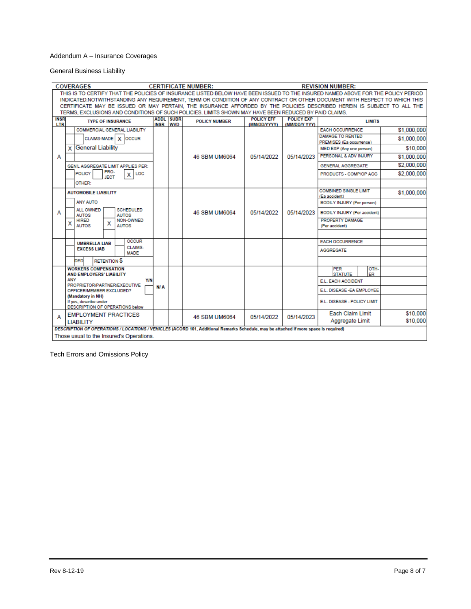## Addendum A – Insurance Coverages

General Business Liability

| <b>COVERAGES</b><br><b>CERTIFICATE NUMBER:</b>                                                                                                                                                                                                                                                                                                                                                                                                                                                    | <b>REVISION NUMBER:</b>                       |                      |                                   |                                    |                                                                                                                                                                                                 |                                                                                     |  |  |  |  |
|---------------------------------------------------------------------------------------------------------------------------------------------------------------------------------------------------------------------------------------------------------------------------------------------------------------------------------------------------------------------------------------------------------------------------------------------------------------------------------------------------|-----------------------------------------------|----------------------|-----------------------------------|------------------------------------|-------------------------------------------------------------------------------------------------------------------------------------------------------------------------------------------------|-------------------------------------------------------------------------------------|--|--|--|--|
| THIS IS TO CERTIFY THAT THE POLICIES OF INSURANCE LISTED BELOW HAVE BEEN ISSUED TO THE INSURED NAMED ABOVE FOR THE POLICY PERIOD<br>INDICATED.NOTWITHSTANDING ANY REQUIREMENT, TERM OR CONDITION OF ANY CONTRACT OR OTHER DOCUMENT WITH RESPECT TO WHICH THIS<br>CERTIFICATE MAY BE ISSUED OR MAY PERTAIN, THE INSURANCE AFFORDED BY THE POLICIES DESCRIBED HEREIN IS SUBJECT TO ALL THE<br>TERMS, EXCLUSIONS AND CONDITIONS OF SUCH POLICIES, LIMITS SHOWN MAY HAVE BEEN REDUCED BY PAID CLAIMS. |                                               |                      |                                   |                                    |                                                                                                                                                                                                 |                                                                                     |  |  |  |  |
| <b>INSR</b><br><b>TYPE OF INSURANCE</b><br>LTR                                                                                                                                                                                                                                                                                                                                                                                                                                                    | <b>ADDL SUBR</b><br><b>INSR</b><br><b>WVD</b> | <b>POLICY NUMBER</b> | <b>POLICY EFF</b><br>(MM/DD/YYYY) | <b>POLICY EXP</b><br>(MM/DD/Y YYY) | <b>LIMITS</b>                                                                                                                                                                                   |                                                                                     |  |  |  |  |
| <b>COMMERCIAL GENERAL LIABILITY</b><br>CLAIMS-MADE   X OCCUR<br><b>General Liability</b><br>x<br>А<br>GEN'L AGGREGATE LIMIT APPLIES PER:<br>PRO-<br><b>POLICY</b><br>LOC<br>х<br><b>JECT</b>                                                                                                                                                                                                                                                                                                      |                                               | 46 SBM UM6064        | 05/14/2022                        | 05/14/2023                         | <b>EACH OCCURRENCE</b><br><b>DAMAGE TO RENTED</b><br><b>PREMISES (Ea occurrence)</b><br>MED EXP (Any one person)<br>PERSONAL & ADV INJURY<br><b>GENERAL AGGREGATE</b><br>PRODUCTS - COMP/OP AGG | \$1,000,000<br>\$1,000,000<br>\$10,000<br>\$1,000,000<br>\$2,000,000<br>\$2,000,000 |  |  |  |  |
| OTHER:<br><b>AUTOMOBILE LIABILITY</b><br><b>ANY AUTO</b><br>ALL OWNED<br><b>SCHEDULED</b><br>А<br><b>AUTOS</b><br><b>AUTOS</b><br><b>HIRED</b><br>NON-OWNED<br>х<br>x<br><b>AUTOS</b><br><b>AUTOS</b>                                                                                                                                                                                                                                                                                             |                                               | 46 SBM UM6064        | 05/14/2022                        | 05/14/2023                         | <b>COMBINED SINGLE LIMIT</b><br>(Ea accident)<br><b>BODILY INJURY (Per person)</b><br>BODILY INJURY (Per accident)<br><b>PROPERTY DAMAGE</b><br>(Per accident)                                  | \$1,000,000                                                                         |  |  |  |  |
| <b>OCCUR</b><br><b>UMBRELLA LIAB</b><br>CLAIMS-<br><b>EXCESS LIAB</b><br><b>MADE</b><br><b>RETENTION S</b><br><b>DED</b><br><b>WORKERS COMPENSATION</b><br><b>AND EMPLOYERS' LIABILITY</b><br><b>ANY</b><br><b>Y/N</b><br>PROPRIETOR/PARTNER/EXECUTIVE<br>OFFICER/MEMBER EXCLUDED?<br>(Mandatory in NH)<br>If yes, describe under<br>DESCRIPTION OF OPERATIONS below                                                                                                                              | N/A                                           |                      |                                   |                                    | <b>EACH OCCURRENCE</b><br><b>AGGREGATE</b><br>OTH-<br><b>PER</b><br><b>STATUTE</b><br>ER<br>E.L. EACH ACCIDENT<br>E.L. DISEASE - EA EMPLOYEE<br>E.L. DISEASE - POLICY LIMIT                     |                                                                                     |  |  |  |  |
| <b>EMPLOYMENT PRACTICES</b><br>А<br><b>LIABILITY</b>                                                                                                                                                                                                                                                                                                                                                                                                                                              |                                               | 46 SBM UM6064        | 05/14/2022                        | 05/14/2023                         | <b>Each Claim Limit</b><br>Aggregate Limit                                                                                                                                                      | \$10,000<br>\$10,000                                                                |  |  |  |  |
| DESCRIPTION OF OPERATIONS / LOCATIONS / VEHICLES (ACORD 101, Additional Remarks Schedule, may be attached if more space is required)<br>Those usual to the Insured's Operations.                                                                                                                                                                                                                                                                                                                  |                                               |                      |                                   |                                    |                                                                                                                                                                                                 |                                                                                     |  |  |  |  |

Tech Errors and Omissions Policy